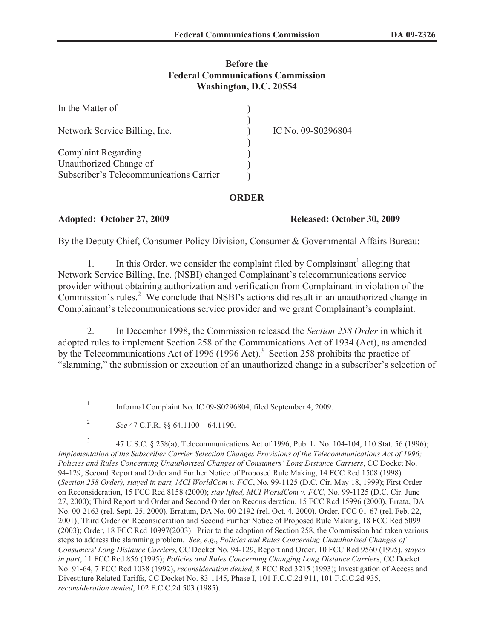## **Before the Federal Communications Commission Washington, D.C. 20554**

| In the Matter of                        |                    |
|-----------------------------------------|--------------------|
| Network Service Billing, Inc.           | IC No. 09-S0296804 |
| <b>Complaint Regarding</b>              |                    |
| Unauthorized Change of                  |                    |
| Subscriber's Telecommunications Carrier |                    |

## **ORDER**

## **Adopted: October 27, 2009 Released: October 30, 2009**

By the Deputy Chief, Consumer Policy Division, Consumer & Governmental Affairs Bureau:

1. In this Order, we consider the complaint filed by Complainant<sup>1</sup> alleging that Network Service Billing, Inc. (NSBI) changed Complainant's telecommunications service provider without obtaining authorization and verification from Complainant in violation of the Commission's rules.<sup>2</sup> We conclude that NSBI's actions did result in an unauthorized change in Complainant's telecommunications service provider and we grant Complainant's complaint.

2. In December 1998, the Commission released the *Section 258 Order* in which it adopted rules to implement Section 258 of the Communications Act of 1934 (Act), as amended by the Telecommunications Act of 1996 (1996 Act).<sup>3</sup> Section 258 prohibits the practice of "slamming," the submission or execution of an unauthorized change in a subscriber's selection of

3 47 U.S.C. § 258(a); Telecommunications Act of 1996, Pub. L. No. 104-104, 110 Stat. 56 (1996); *Implementation of the Subscriber Carrier Selection Changes Provisions of the Telecommunications Act of 1996; Policies and Rules Concerning Unauthorized Changes of Consumers' Long Distance Carriers*, CC Docket No. 94-129, Second Report and Order and Further Notice of Proposed Rule Making, 14 FCC Rcd 1508 (1998) (*Section 258 Order), stayed in part, MCI WorldCom v. FCC*, No. 99-1125 (D.C. Cir. May 18, 1999); First Order on Reconsideration, 15 FCC Rcd 8158 (2000); *stay lifted, MCI WorldCom v. FCC*, No. 99-1125 (D.C. Cir. June 27, 2000); Third Report and Order and Second Order on Reconsideration, 15 FCC Rcd 15996 (2000), Errata, DA No. 00-2163 (rel. Sept. 25, 2000), Erratum, DA No. 00-2192 (rel. Oct. 4, 2000), Order, FCC 01-67 (rel. Feb. 22, 2001); Third Order on Reconsideration and Second Further Notice of Proposed Rule Making, 18 FCC Rcd 5099 (2003); Order, 18 FCC Rcd 10997(2003). Prior to the adoption of Section 258, the Commission had taken various steps to address the slamming problem. *See*, *e.g.*, *Policies and Rules Concerning Unauthorized Changes of Consumers' Long Distance Carriers*, CC Docket No. 94-129, Report and Order, 10 FCC Rcd 9560 (1995), *stayed in part*, 11 FCC Rcd 856 (1995); *Policies and Rules Concerning Changing Long Distance Carrier*s, CC Docket No. 91-64, 7 FCC Rcd 1038 (1992), *reconsideration denied*, 8 FCC Rcd 3215 (1993); Investigation of Access and Divestiture Related Tariffs, CC Docket No. 83-1145, Phase I, 101 F.C.C.2d 911, 101 F.C.C.2d 935, *reconsideration denied*, 102 F.C.C.2d 503 (1985).

<sup>1</sup> Informal Complaint No. IC 09-S0296804, filed September 4, 2009.

<sup>2</sup> *See* 47 C.F.R. §§ 64.1100 – 64.1190.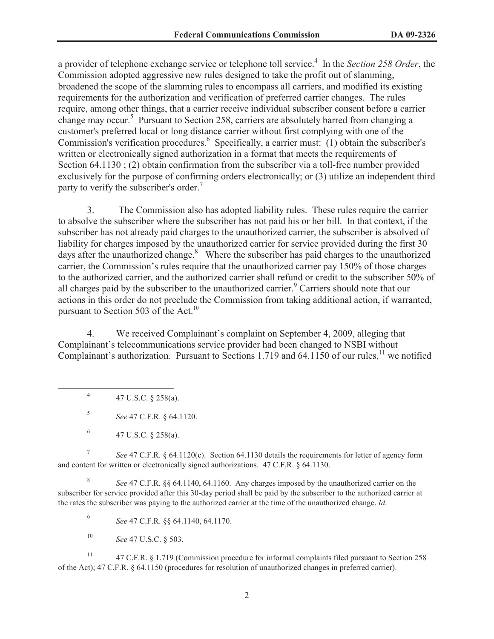a provider of telephone exchange service or telephone toll service.<sup>4</sup> In the *Section 258 Order*, the Commission adopted aggressive new rules designed to take the profit out of slamming, broadened the scope of the slamming rules to encompass all carriers, and modified its existing requirements for the authorization and verification of preferred carrier changes. The rules require, among other things, that a carrier receive individual subscriber consent before a carrier change may occur.<sup>5</sup> Pursuant to Section 258, carriers are absolutely barred from changing a customer's preferred local or long distance carrier without first complying with one of the Commission's verification procedures.<sup>6</sup> Specifically, a carrier must: (1) obtain the subscriber's written or electronically signed authorization in a format that meets the requirements of Section 64.1130 ; (2) obtain confirmation from the subscriber via a toll-free number provided exclusively for the purpose of confirming orders electronically; or (3) utilize an independent third party to verify the subscriber's order.<sup>7</sup>

3. The Commission also has adopted liability rules. These rules require the carrier to absolve the subscriber where the subscriber has not paid his or her bill. In that context, if the subscriber has not already paid charges to the unauthorized carrier, the subscriber is absolved of liability for charges imposed by the unauthorized carrier for service provided during the first 30 days after the unauthorized change. $8\text{ }$  Where the subscriber has paid charges to the unauthorized carrier, the Commission's rules require that the unauthorized carrier pay 150% of those charges to the authorized carrier, and the authorized carrier shall refund or credit to the subscriber 50% of all charges paid by the subscriber to the unauthorized carrier.<sup>9</sup> Carriers should note that our actions in this order do not preclude the Commission from taking additional action, if warranted, pursuant to Section 503 of the Act.<sup>10</sup>

4. We received Complainant's complaint on September 4, 2009, alleging that Complainant's telecommunications service provider had been changed to NSBI without Complainant's authorization. Pursuant to Sections 1.719 and  $64.1150$  of our rules,<sup>11</sup> we notified

4 47 U.S.C. § 258(a).

5 *See* 47 C.F.R. § 64.1120.

7 *See* 47 C.F.R. § 64.1120(c). Section 64.1130 details the requirements for letter of agency form and content for written or electronically signed authorizations. 47 C.F.R. § 64.1130.

8 *See* 47 C.F.R. §§ 64.1140, 64.1160. Any charges imposed by the unauthorized carrier on the subscriber for service provided after this 30-day period shall be paid by the subscriber to the authorized carrier at the rates the subscriber was paying to the authorized carrier at the time of the unauthorized change. *Id.*

9 *See* 47 C.F.R. §§ 64.1140, 64.1170.

<sup>10</sup> *See* 47 U.S.C. § 503.

<sup>11</sup> 47 C.F.R. § 1.719 (Commission procedure for informal complaints filed pursuant to Section 258 of the Act); 47 C.F.R. § 64.1150 (procedures for resolution of unauthorized changes in preferred carrier).

<sup>6</sup> 47 U.S.C. § 258(a).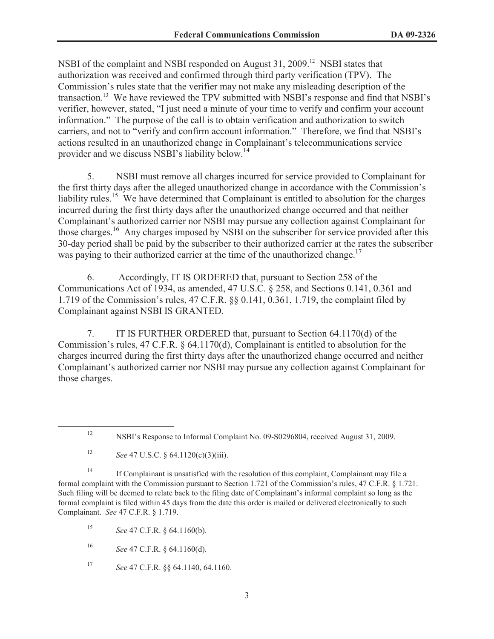NSBI of the complaint and NSBI responded on August 31, 2009.<sup>12</sup> NSBI states that authorization was received and confirmed through third party verification (TPV). The Commission's rules state that the verifier may not make any misleading description of the transaction.<sup>13</sup> We have reviewed the TPV submitted with NSBI's response and find that NSBI's verifier, however, stated, "I just need a minute of your time to verify and confirm your account information." The purpose of the call is to obtain verification and authorization to switch carriers, and not to "verify and confirm account information." Therefore, we find that NSBI's actions resulted in an unauthorized change in Complainant's telecommunications service provider and we discuss NSBI's liability below.<sup>14</sup>

5. NSBI must remove all charges incurred for service provided to Complainant for the first thirty days after the alleged unauthorized change in accordance with the Commission's liability rules.<sup>15</sup> We have determined that Complainant is entitled to absolution for the charges incurred during the first thirty days after the unauthorized change occurred and that neither Complainant's authorized carrier nor NSBI may pursue any collection against Complainant for those charges.<sup>16</sup> Any charges imposed by NSBI on the subscriber for service provided after this 30-day period shall be paid by the subscriber to their authorized carrier at the rates the subscriber was paying to their authorized carrier at the time of the unauthorized change.<sup>17</sup>

6. Accordingly, IT IS ORDERED that, pursuant to Section 258 of the Communications Act of 1934, as amended, 47 U.S.C. § 258, and Sections 0.141, 0.361 and 1.719 of the Commission's rules, 47 C.F.R. §§ 0.141, 0.361, 1.719, the complaint filed by Complainant against NSBI IS GRANTED.

7. IT IS FURTHER ORDERED that, pursuant to Section 64.1170(d) of the Commission's rules, 47 C.F.R. § 64.1170(d), Complainant is entitled to absolution for the charges incurred during the first thirty days after the unauthorized change occurred and neither Complainant's authorized carrier nor NSBI may pursue any collection against Complainant for those charges.

<sup>13</sup> *See* 47 U.S.C. § 64.1120(c)(3)(iii).

<sup>14</sup> If Complainant is unsatisfied with the resolution of this complaint, Complainant may file a formal complaint with the Commission pursuant to Section 1.721 of the Commission's rules, 47 C.F.R. § 1.721. Such filing will be deemed to relate back to the filing date of Complainant's informal complaint so long as the formal complaint is filed within 45 days from the date this order is mailed or delivered electronically to such Complainant. *See* 47 C.F.R. § 1.719.

<sup>15</sup> *See* 47 C.F.R. § 64.1160(b).

<sup>16</sup> *See* 47 C.F.R. § 64.1160(d).

<sup>17</sup> *See* 47 C.F.R. §§ 64.1140, 64.1160.

<sup>12</sup> NSBI's Response to Informal Complaint No. 09-S0296804, received August 31, 2009.